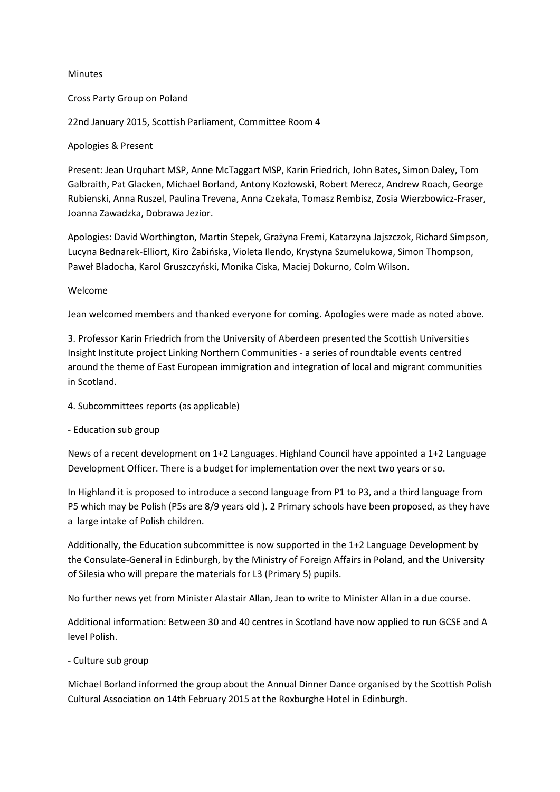### Minutes

### Cross Party Group on Poland

22nd January 2015, Scottish Parliament, Committee Room 4

## Apologies & Present

Present: Jean Urquhart MSP, Anne McTaggart MSP, Karin Friedrich, John Bates, Simon Daley, Tom Galbraith, Pat Glacken, Michael Borland, Antony Kozłowski, Robert Merecz, Andrew Roach, George Rubienski, Anna Ruszel, Paulina Trevena, Anna Czekała, Tomasz Rembisz, Zosia Wierzbowicz-Fraser, Joanna Zawadzka, Dobrawa Jezior.

Apologies: David Worthington, Martin Stepek, Grażyna Fremi, Katarzyna Jajszczok, Richard Simpson, Lucyna Bednarek-Elliort, Kiro Żabińska, Violeta Ilendo, Krystyna Szumelukowa, Simon Thompson, Paweł Bladocha, Karol Gruszczyński, Monika Ciska, Maciej Dokurno, Colm Wilson.

### Welcome

Jean welcomed members and thanked everyone for coming. Apologies were made as noted above.

3. Professor Karin Friedrich from the University of Aberdeen presented the Scottish Universities Insight Institute project Linking Northern Communities - a series of roundtable events centred around the theme of East European immigration and integration of local and migrant communities in Scotland.

4. Subcommittees reports (as applicable)

### - Education sub group

News of a recent development on 1+2 Languages. Highland Council have appointed a 1+2 Language Development Officer. There is a budget for implementation over the next two years or so.

In Highland it is proposed to introduce a second language from P1 to P3, and a third language from P5 which may be Polish (P5s are 8/9 years old ). 2 Primary schools have been proposed, as they have a large intake of Polish children.

Additionally, the Education subcommittee is now supported in the 1+2 Language Development by the Consulate-General in Edinburgh, by the Ministry of Foreign Affairs in Poland, and the University of Silesia who will prepare the materials for L3 (Primary 5) pupils.

No further news yet from Minister Alastair Allan, Jean to write to Minister Allan in a due course.

Additional information: Between 30 and 40 centres in Scotland have now applied to run GCSE and A level Polish.

### - Culture sub group

Michael Borland informed the group about the Annual Dinner Dance organised by the Scottish Polish Cultural Association on 14th February 2015 at the Roxburghe Hotel in Edinburgh.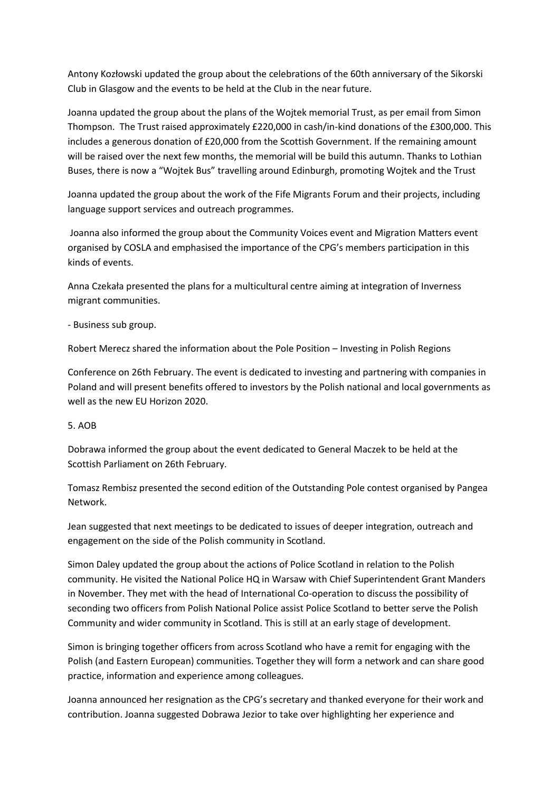Antony Kozłowski updated the group about the celebrations of the 60th anniversary of the Sikorski Club in Glasgow and the events to be held at the Club in the near future.

Joanna updated the group about the plans of the Wojtek memorial Trust, as per email from Simon Thompson. The Trust raised approximately £220,000 in cash/in-kind donations of the £300,000. This includes a generous donation of £20,000 from the Scottish Government. If the remaining amount will be raised over the next few months, the memorial will be build this autumn. Thanks to Lothian Buses, there is now a "Wojtek Bus" travelling around Edinburgh, promoting Wojtek and the Trust

Joanna updated the group about the work of the Fife Migrants Forum and their projects, including language support services and outreach programmes.

Joanna also informed the group about the Community Voices event and Migration Matters event organised by COSLA and emphasised the importance of the CPG's members participation in this kinds of events.

Anna Czekała presented the plans for a multicultural centre aiming at integration of Inverness migrant communities.

- Business sub group.

Robert Merecz shared the information about the Pole Position – Investing in Polish Regions

Conference on 26th February. The event is dedicated to investing and partnering with companies in Poland and will present benefits offered to investors by the Polish national and local governments as well as the new EU Horizon 2020.

# 5. AOB

Dobrawa informed the group about the event dedicated to General Maczek to be held at the Scottish Parliament on 26th February.

Tomasz Rembisz presented the second edition of the Outstanding Pole contest organised by Pangea Network.

Jean suggested that next meetings to be dedicated to issues of deeper integration, outreach and engagement on the side of the Polish community in Scotland.

Simon Daley updated the group about the actions of Police Scotland in relation to the Polish community. He visited the National Police HQ in Warsaw with Chief Superintendent Grant Manders in November. They met with the head of International Co-operation to discuss the possibility of seconding two officers from Polish National Police assist Police Scotland to better serve the Polish Community and wider community in Scotland. This is still at an early stage of development.

Simon is bringing together officers from across Scotland who have a remit for engaging with the Polish (and Eastern European) communities. Together they will form a network and can share good practice, information and experience among colleagues.

Joanna announced her resignation as the CPG's secretary and thanked everyone for their work and contribution. Joanna suggested Dobrawa Jezior to take over highlighting her experience and